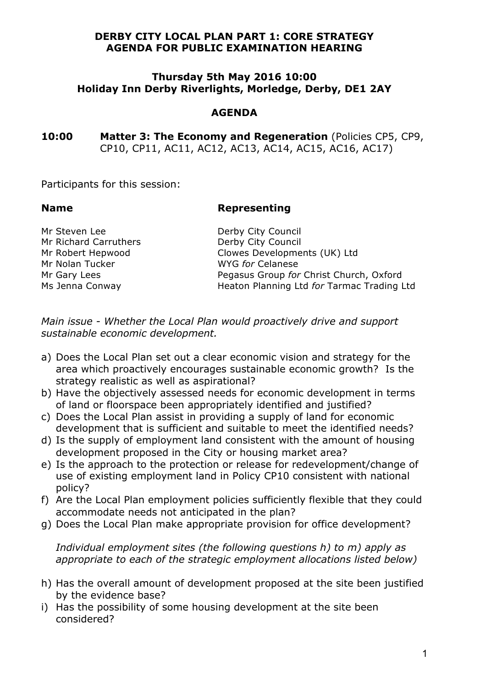#### **DERBY CITY LOCAL PLAN PART 1: CORE STRATEGY AGENDA FOR PUBLIC EXAMINATION HEARING**

#### **Thursday 5th May 2016 10:00 Holiday Inn Derby Riverlights, Morledge, Derby, DE1 2AY**

### **AGENDA**

**10:00 Matter 3: The Economy and Regeneration** (Policies CP5, CP9, CP10, CP11, AC11, AC12, AC13, AC14, AC15, AC16, AC17)

Participants for this session:

### **Name Representing**

Mr Steven Lee Derby City Council<br>
Mr Richard Carruthers Derby City Council Mr Richard Carruthers Mr Nolan Tucker WYG *for* Celanese

Mr Robert Hepwood Clowes Developments (UK) Ltd Mr Gary Lees Pegasus Group *for* Christ Church, Oxford Ms Jenna Conway Heaton Planning Ltd *for* Tarmac Trading Ltd

*Main issue - Whether the Local Plan would proactively drive and support sustainable economic development.* 

- a) Does the Local Plan set out a clear economic vision and strategy for the area which proactively encourages sustainable economic growth? Is the strategy realistic as well as aspirational?
- b) Have the objectively assessed needs for economic development in terms of land or floorspace been appropriately identified and justified?
- c) Does the Local Plan assist in providing a supply of land for economic development that is sufficient and suitable to meet the identified needs?
- d) Is the supply of employment land consistent with the amount of housing development proposed in the City or housing market area?
- e) Is the approach to the protection or release for redevelopment/change of use of existing employment land in Policy CP10 consistent with national policy?
- f) Are the Local Plan employment policies sufficiently flexible that they could accommodate needs not anticipated in the plan?
- g) Does the Local Plan make appropriate provision for office development?

*Individual employment sites (the following questions h) to m) apply as appropriate to each of the strategic employment allocations listed below)*

- h) Has the overall amount of development proposed at the site been justified by the evidence base?
- i) Has the possibility of some housing development at the site been considered?